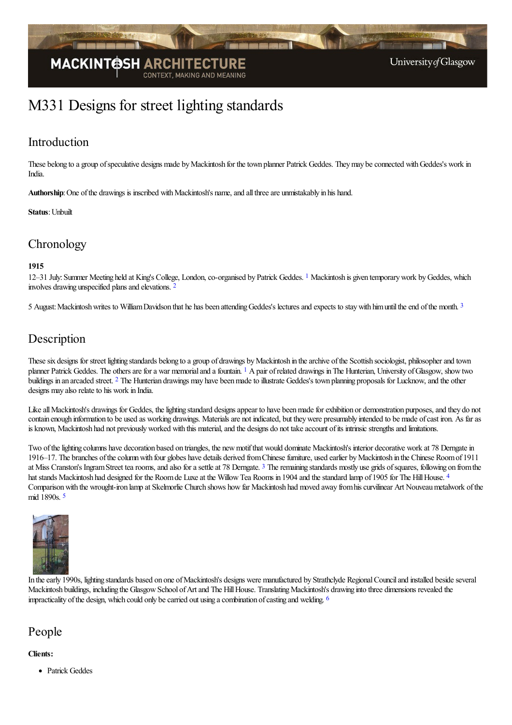

# M331 Designs for street lighting standards

### Introduction

These belong to a group of speculative designs made by Mackintosh for the town planner Patrick Geddes. They may be connected with Geddes's work in India.

Authorship: One of the drawings is inscribed with Mackintosh's name, and all three are unmistakably in his hand.

#### **Status**: Unbuilt

### **Chronology**

#### **1915**

<span id="page-0-1"></span><span id="page-0-0"></span>[1](#page-1-0)2–31 July: Summer Meeting held at King's College, London, co-organised by Patrick Geddes. <sup>1</sup> Mackintosh is given temporary work by Geddes, which involves drawing unspecified plans and elevations. <sup>[2](#page-1-1)</sup>

<span id="page-0-2"></span>5 August: Mackintosh writes to William Davidson that he has been attending Geddes's lectures and expects to stay with him until the end of the month. [3](#page-1-2)

### Description

<span id="page-0-4"></span><span id="page-0-3"></span>These six designs for street lighting standards belong to a group of drawings by Mackintosh in the archive of the Scottish sociologist, philosopher and town planner Patrick Geddes. The others are for a war memorial and a fountain. <sup>[1](#page-1-3)</sup> A pair of related drawings in The Hunterian, University of Glasgow, show two buildings in an arcaded street. <sup>[2](#page-1-4)</sup> The Hunterian drawings may have been made to illustrate Geddes's town planning proposals for Lucknow, and the other designs may also relate to his work in India.

Like all Mackintosh's drawings for Geddes, the lighting standard designs appear to have been made for exhibition or demonstration purposes, and they do not contain enough information to be used as working drawings. Materialsare not indicated, but theywere presumably intended to be made ofcast iron. As faras is known, Mackintosh had not previously worked with this material, and the designs do not take account of its intrinsic strengths and limitations.

<span id="page-0-5"></span>Two of the lighting columns have decoration based on triangles, the new motif that would dominate Mackintosh's interior decorative work at 78 Derngate in 1916–17. The branches ofthecolumnwith four globes have details derived fromChinesefurniture, used earlier byMackintosh in the Chinese Roomof 1911 at Miss Cranston's Ingram Street tea rooms, and also for a settle at 78 Derngate. <sup>[3](#page-1-5)</sup> The remaining standards mostly use grids of squares, following on from the hat stands Mackintosh had designed for the Room de Luxe at the Willow Tea Rooms in 190[4](#page-1-6) and the standard lamp of 1905 for The Hill House. <sup>4</sup> Comparison with the wrought-iron lamp at Skelmorlie Church shows how far Mackintosh had moved away from his curvilinear Art Nouveau metalwork of the mid 1890s. [5](#page-1-7)

<span id="page-0-7"></span><span id="page-0-6"></span>

In the early 1990s, lighting standards based on one of Mackintosh's designs were manufactured by Strathclyde Regional Council and installed beside several Mackintosh buildings, including the Glasgow School of Art and The Hill House. Translating Mackintosh's drawing into three dimensions revealed the impracticality of the design, which could only be carried out using a combination of casting and welding.  $\frac{6}{100}$  $\frac{6}{100}$  $\frac{6}{100}$ 

#### People

#### **Clients:**

<span id="page-0-8"></span>**•** Patrick Geddes